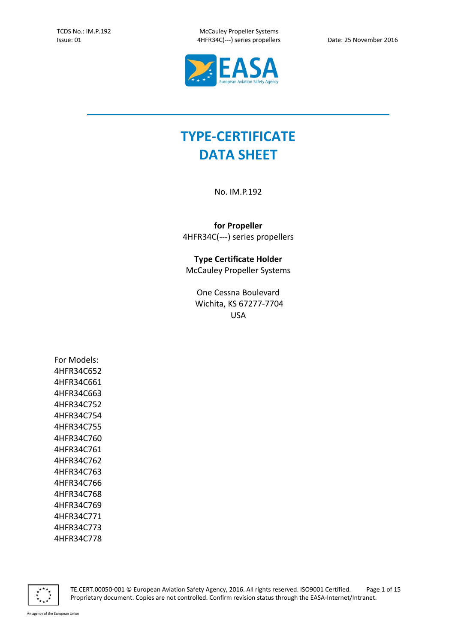TCDS No.: IM.P.192 McCauley Propeller Systems<br>
Issue: 01<br>
AHER34C(---) series propellers Issue: 01 4HFR34C(‐‐‐) series propellers Date: 25 November 2016



# **TYPE‐CERTIFICATE DATA SHEET**

No. IM.P.192

# **for Propeller**

4HFR34C(‐‐‐) series propellers

# **Type Certificate Holder**

McCauley Propeller Systems

One Cessna Boulevard Wichita, KS 67277‐7704 USA

For Models: 4HFR34C652 4HFR34C661 4HFR34C663 4HFR34C752 4HFR34C754 4HFR34C755 4HFR34C760 4HFR34C761 4HFR34C762 4HFR34C763 4HFR34C766 4HFR34C768 4HFR34C769 4HFR34C771 4HFR34C773 4HFR34C778



TE.CERT.00050‐001 © European Aviation Safety Agency, 2016. All rights reserved. ISO9001 Certified. Page 1 of 15 Proprietary document. Copies are not controlled. Confirm revision status through the EASA‐Internet/Intranet.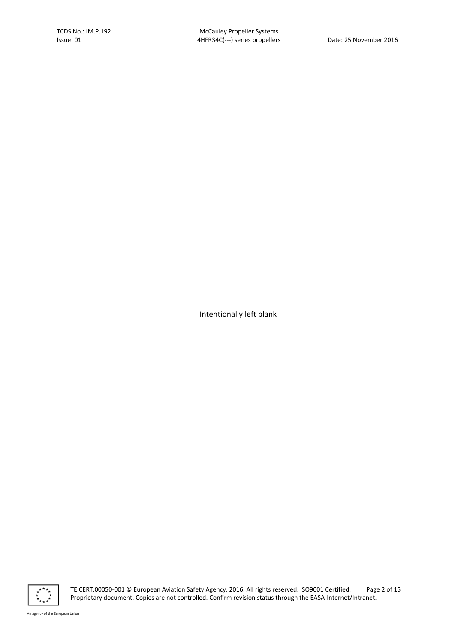Intentionally left blank



TE.CERT.00050‐001 © European Aviation Safety Agency, 2016. All rights reserved. ISO9001 Certified. Page 2 of 15 Proprietary document. Copies are not controlled. Confirm revision status through the EASA‐Internet/Intranet.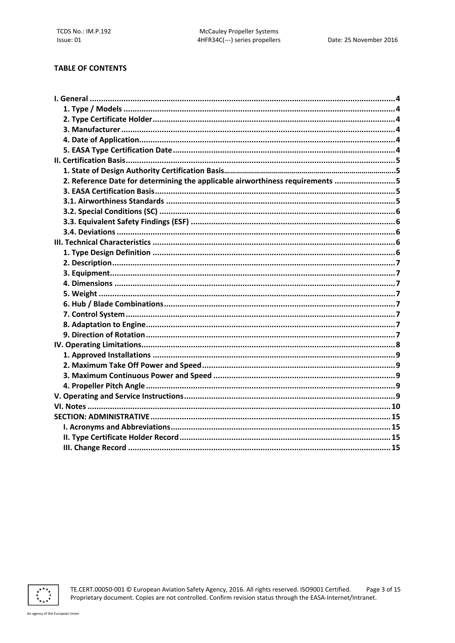# **TABLE OF CONTENTS**

| 2. Reference Date for determining the applicable airworthiness requirements 5 |
|-------------------------------------------------------------------------------|
|                                                                               |
|                                                                               |
|                                                                               |
|                                                                               |
|                                                                               |
|                                                                               |
|                                                                               |
|                                                                               |
|                                                                               |
|                                                                               |
|                                                                               |
|                                                                               |
|                                                                               |
|                                                                               |
|                                                                               |
|                                                                               |
|                                                                               |
|                                                                               |
|                                                                               |
|                                                                               |
|                                                                               |
|                                                                               |
|                                                                               |
|                                                                               |
|                                                                               |
|                                                                               |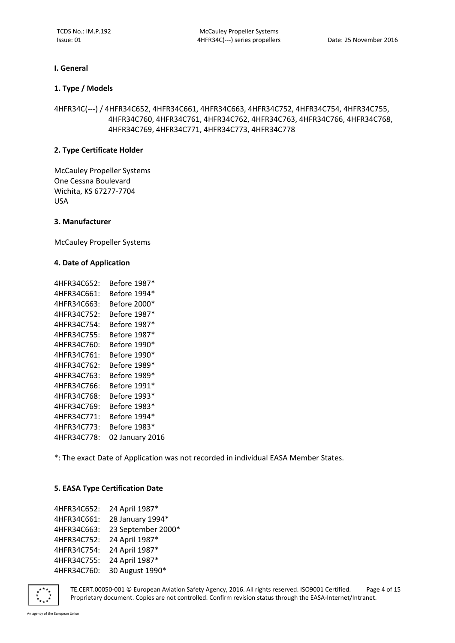# **I. General**

# **1. Type / Models**

4HFR34C(‐‐‐) / 4HFR34C652, 4HFR34C661, 4HFR34C663, 4HFR34C752, 4HFR34C754, 4HFR34C755, 4HFR34C760, 4HFR34C761, 4HFR34C762, 4HFR34C763, 4HFR34C766, 4HFR34C768, 4HFR34C769, 4HFR34C771, 4HFR34C773, 4HFR34C778

# **2. Type Certificate Holder**

McCauley Propeller Systems One Cessna Boulevard Wichita, KS 67277‐7704 USA

#### **3. Manufacturer**

McCauley Propeller Systems

#### **4. Date of Application**

| 4HFR34C652: | Before 1987*    |
|-------------|-----------------|
| 4HFR34C661: | Before 1994*    |
| 4HFR34C663: | Before 2000*    |
| 4HFR34C752: | Before 1987*    |
| 4HFR34C754: | Before 1987*    |
| 4HFR34C755: | Before 1987*    |
| 4HFR34C760: | Before 1990*    |
| 4HFR34C761: | Before 1990*    |
| 4HFR34C762: | Before 1989*    |
| 4HFR34C763: | Before 1989*    |
| 4HFR34C766: | Before 1991*    |
| 4HFR34C768: | Before 1993*    |
| 4HFR34C769: | Before 1983*    |
| 4HFR34C771: | Before 1994*    |
| 4HFR34C773: | Before 1983*    |
| 4HFR34C778: | 02 January 2016 |

\*: The exact Date of Application was not recorded in individual EASA Member States.

# **5. EASA Type Certification Date**

4HFR34C652: 24 April 1987\* 4HFR34C661: 28 January 1994\* 4HFR34C663: 23 September 2000\* 4HFR34C752: 24 April 1987\* 4HFR34C754: 24 April 1987\* 4HFR34C755: 24 April 1987\* 4HFR34C760: 30 August 1990\*



TE.CERT.00050‐001 © European Aviation Safety Agency, 2016. All rights reserved. ISO9001 Certified. Page 4 of 15 Proprietary document. Copies are not controlled. Confirm revision status through the EASA‐Internet/Intranet.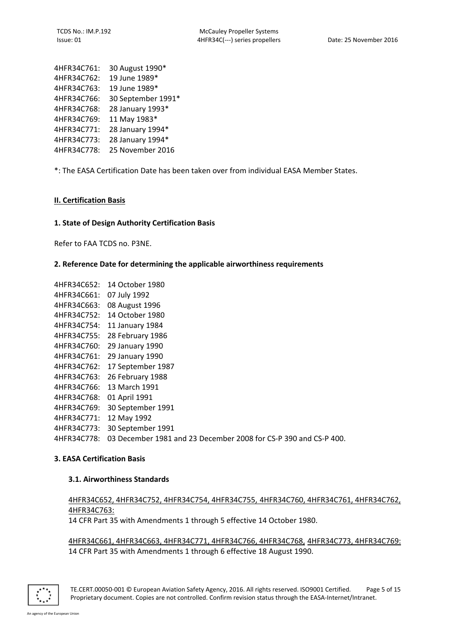| 4HFR34C761: | 30 August 1990*    |
|-------------|--------------------|
| 4HFR34C762: | 19 June 1989*      |
| 4HFR34C763: | 19 June 1989*      |
| 4HFR34C766: | 30 September 1991* |
| 4HFR34C768: | 28 January 1993*   |
| 4HFR34C769: | 11 May 1983*       |
| 4HFR34C771: | 28 January 1994*   |
| 4HFR34C773: | 28 January 1994*   |
| 4HFR34C778: | 25 November 2016   |
|             |                    |

\*: The EASA Certification Date has been taken over from individual EASA Member States.

# **II. Certification Basis**

#### **1. State of Design Authority Certification Basis**

Refer to FAA TCDS no. P3NE.

# **2. Reference Date for determining the applicable airworthiness requirements**

| 4HFR34C652: | 14 October 1980                                                  |
|-------------|------------------------------------------------------------------|
| 4HFR34C661: | 07 July 1992                                                     |
| 4HFR34C663: | 08 August 1996                                                   |
| 4HFR34C752: | 14 October 1980                                                  |
| 4HFR34C754: | 11 January 1984                                                  |
| 4HFR34C755: | 28 February 1986                                                 |
| 4HFR34C760: | 29 January 1990                                                  |
| 4HFR34C761: | 29 January 1990                                                  |
| 4HFR34C762: | 17 September 1987                                                |
| 4HFR34C763: | 26 February 1988                                                 |
| 4HFR34C766: | 13 March 1991                                                    |
| 4HFR34C768: | 01 April 1991                                                    |
| 4HFR34C769: | 30 September 1991                                                |
| 4HFR34C771: | 12 May 1992                                                      |
| 4HFR34C773: | 30 September 1991                                                |
| 4HFR34C778: | 03 December 1981 and 23 December 2008 for CS-P 390 and CS-P 400. |

#### **3. EASA Certification Basis**

#### **3.1. Airworthiness Standards**

# 4HFR34C652, 4HFR34C752, 4HFR34C754, 4HFR34C755, 4HFR34C760, 4HFR34C761, 4HFR34C762, 4HFR34C763:

14 CFR Part 35 with Amendments 1 through 5 effective 14 October 1980.

4HFR34C661, 4HFR34C663, 4HFR34C771, 4HFR34C766, 4HFR34C768, 4HFR34C773, 4HFR34C769: 14 CFR Part 35 with Amendments 1 through 6 effective 18 August 1990.

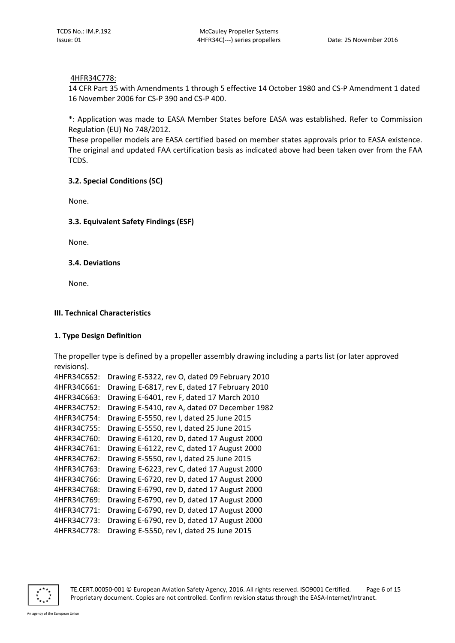#### 4HFR34C778:

14 CFR Part 35 with Amendments 1 through 5 effective 14 October 1980 and CS‐P Amendment 1 dated 16 November 2006 for CS‐P 390 and CS‐P 400.

\*: Application was made to EASA Member States before EASA was established. Refer to Commission Regulation (EU) No 748/2012.

These propeller models are EASA certified based on member states approvals prior to EASA existence. The original and updated FAA certification basis as indicated above had been taken over from the FAA TCDS.

# **3.2. Special Conditions (SC)**

None.

#### **3.3. Equivalent Safety Findings (ESF)**

None.

# **3.4. Deviations**

None.

# **III. Technical Characteristics**

#### **1. Type Design Definition**

The propeller type is defined by a propeller assembly drawing including a parts list (or later approved revisions).

| 4HFR34C652: | Drawing E-5322, rev O, dated 09 February 2010 |
|-------------|-----------------------------------------------|
| 4HFR34C661: | Drawing E-6817, rev E, dated 17 February 2010 |
| 4HFR34C663: | Drawing E-6401, rev F, dated 17 March 2010    |
| 4HFR34C752: | Drawing E-5410, rev A, dated 07 December 1982 |
| 4HFR34C754: | Drawing E-5550, rev I, dated 25 June 2015     |
| 4HFR34C755: | Drawing E-5550, rev I, dated 25 June 2015     |
| 4HFR34C760: | Drawing E-6120, rev D, dated 17 August 2000   |
| 4HFR34C761: | Drawing E-6122, rev C, dated 17 August 2000   |
| 4HFR34C762: | Drawing E-5550, rev I, dated 25 June 2015     |
| 4HFR34C763: | Drawing E-6223, rev C, dated 17 August 2000   |
| 4HFR34C766: | Drawing E-6720, rev D, dated 17 August 2000   |
| 4HFR34C768: | Drawing E-6790, rev D, dated 17 August 2000   |
| 4HFR34C769: | Drawing E-6790, rev D, dated 17 August 2000   |
| 4HFR34C771: | Drawing E-6790, rev D, dated 17 August 2000   |
| 4HFR34C773: | Drawing E-6790, rev D, dated 17 August 2000   |
| 4HFR34C778: | Drawing E-5550, rev I, dated 25 June 2015     |
|             |                                               |



TE.CERT.00050‐001 © European Aviation Safety Agency, 2016. All rights reserved. ISO9001 Certified. Page 6 of 15 Proprietary document. Copies are not controlled. Confirm revision status through the EASA‐Internet/Intranet.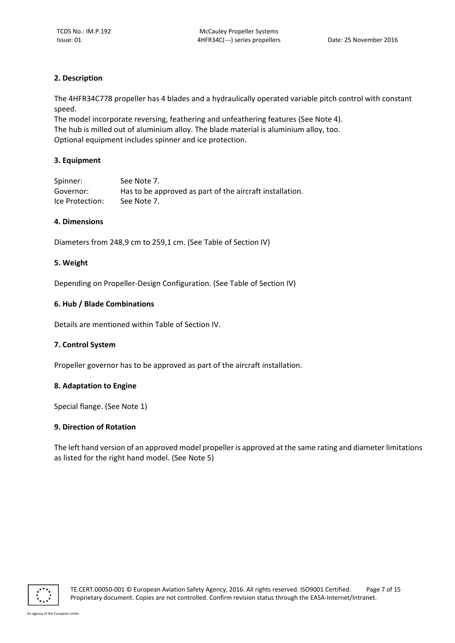# **2. Description**

The 4HFR34C778 propeller has 4 blades and a hydraulically operated variable pitch control with constant speed.

The model incorporate reversing, feathering and unfeathering features (See Note 4). The hub is milled out of aluminium alloy. The blade material is aluminium alloy, too. Optional equipment includes spinner and ice protection.

#### **3. Equipment**

Spinner: See Note 7. Governor: Has to be approved as part of the aircraft installation. Ice Protection: See Note 7.

#### **4. Dimensions**

Diameters from 248,9 cm to 259,1 cm. (See Table of Section IV)

#### **5. Weight**

Depending on Propeller‐Design Configuration. (See Table of Section IV)

#### **6. Hub / Blade Combinations**

Details are mentioned within Table of Section IV.

# **7. Control System**

Propeller governor has to be approved as part of the aircraft installation.

# **8. Adaptation to Engine**

Special flange. (See Note 1)

# **9. Direction of Rotation**

The left hand version of an approved model propeller is approved at the same rating and diameter limitations as listed for the right hand model. (See Note 5)

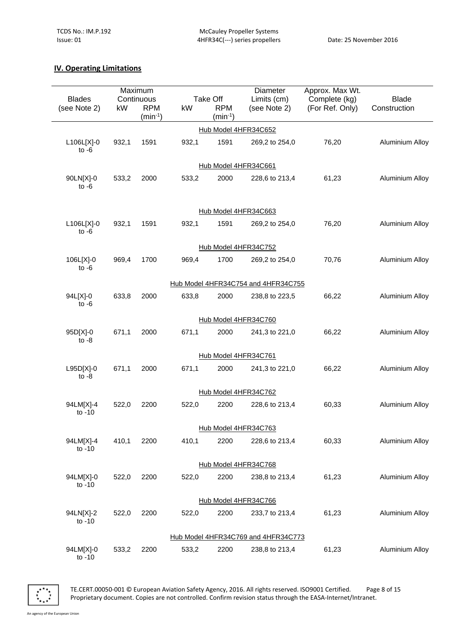# **IV. Operating Limitations**

| Maximum                       |       |                                       |       |                                            | Diameter                               | Approx. Max Wt.                  |                              |
|-------------------------------|-------|---------------------------------------|-------|--------------------------------------------|----------------------------------------|----------------------------------|------------------------------|
| <b>Blades</b><br>(see Note 2) | kW    | Continuous<br><b>RPM</b><br>$(min-1)$ | kW    | <b>Take Off</b><br><b>RPM</b><br>$(min-1)$ | Limits (cm)<br>(see Note 2)            | Complete (kg)<br>(For Ref. Only) | <b>Blade</b><br>Construction |
|                               |       |                                       |       |                                            | Hub Model 4HFR34C652                   |                                  |                              |
| L106L[X]-0<br>to $-6$         | 932,1 | 1591                                  | 932,1 | 1591                                       | 269,2 to 254,0                         | 76,20                            | Aluminium Alloy              |
|                               |       |                                       |       |                                            | Hub Model 4HFR34C661                   |                                  |                              |
| 90LN[X]-0<br>to $-6$          | 533,2 | 2000                                  | 533,2 | 2000                                       | 228,6 to 213,4                         | 61,23                            | Aluminium Alloy              |
|                               |       |                                       |       |                                            |                                        |                                  |                              |
| L106L[X]-0                    | 932,1 | 1591                                  | 932,1 | 1591                                       | Hub Model 4HFR34C663<br>269,2 to 254,0 | 76,20                            | Aluminium Alloy              |
| to $-6$                       |       |                                       |       |                                            |                                        |                                  |                              |
|                               |       |                                       |       |                                            | Hub Model 4HFR34C752                   |                                  |                              |
| 106L[X]-0<br>to $-6$          | 969,4 | 1700                                  | 969,4 | 1700                                       | 269,2 to 254,0                         | 70,76                            | Aluminium Alloy              |
|                               |       |                                       |       |                                            | Hub Model 4HFR34C754 and 4HFR34C755    |                                  |                              |
| 94L[X]-0<br>to $-6$           | 633,8 | 2000                                  | 633,8 | 2000                                       | 238,8 to 223,5                         | 66,22                            | Aluminium Alloy              |
|                               |       |                                       |       |                                            | Hub Model 4HFR34C760                   |                                  |                              |
| 95D[X]-0<br>to $-8$           | 671,1 | 2000                                  | 671,1 | 2000                                       | 241,3 to 221,0                         | 66,22                            | Aluminium Alloy              |
|                               |       |                                       |       |                                            | Hub Model 4HFR34C761                   |                                  |                              |
| L95D[X]-0<br>to $-8$          | 671,1 | 2000                                  | 671,1 | 2000                                       | 241,3 to 221,0                         | 66,22                            | Aluminium Alloy              |
|                               |       |                                       |       |                                            | Hub Model 4HFR34C762                   |                                  |                              |
| 94LM[X]-4<br>to $-10$         | 522,0 | 2200                                  | 522,0 | 2200                                       | 228,6 to 213,4                         | 60,33                            | Aluminium Alloy              |
|                               |       |                                       |       |                                            | Hub Model 4HFR34C763                   |                                  |                              |
| 94LM[X]-4<br>to $-10$         | 410,1 | 2200                                  | 410,1 | 2200                                       | 228,6 to 213,4                         | 60,33                            | Aluminium Alloy              |
| Hub Model 4HFR34C768          |       |                                       |       |                                            |                                        |                                  |                              |
| 94LM[X]-0<br>to $-10$         | 522,0 | 2200                                  | 522,0 | 2200                                       | 238,8 to 213,4                         | 61,23                            | Aluminium Alloy              |
| Hub Model 4HFR34C766          |       |                                       |       |                                            |                                        |                                  |                              |
| 94LN[X]-2<br>to $-10$         | 522,0 | 2200                                  | 522,0 | 2200                                       | 233,7 to 213,4                         | 61,23                            | Aluminium Alloy              |
|                               |       |                                       |       |                                            | Hub Model 4HFR34C769 and 4HFR34C773    |                                  |                              |
| 94LM[X]-0<br>to $-10$         | 533,2 | 2200                                  | 533,2 | 2200                                       | 238,8 to 213,4                         | 61,23                            | Aluminium Alloy              |

 $\overline{\mathbb{C}}$ 

TE.CERT.00050‐001 © European Aviation Safety Agency, 2016. All rights reserved. ISO9001 Certified. Page 8 of 15 Proprietary document. Copies are not controlled. Confirm revision status through the EASA‐Internet/Intranet.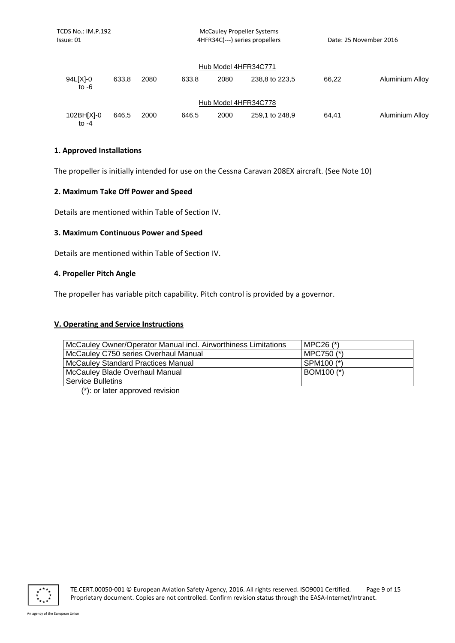TCDS No.: IM.P.192 McCauley Propeller Systems<br>
Issue: 01<br>
4HFR34C(---) series propellers Issue: 01 4HFR34C(‐‐‐) series propellers Date: 25 November 2016

#### Hub Model 4HFR34C771

| 94L[X]-0<br>to $-6$ | 633.8 | 2080 | 633,8 | 2080 | 238,8 to 223,5       | 66.22 | Aluminium Alloy |
|---------------------|-------|------|-------|------|----------------------|-------|-----------------|
|                     |       |      |       |      | Hub Model 4HFR34C778 |       |                 |
| 102BH[X]-0<br>to -4 | 646.5 | 2000 | 646,5 | 2000 | 259,1 to 248,9       | 64.41 | Aluminium Alloy |

#### **1. Approved Installations**

The propeller is initially intended for use on the Cessna Caravan 208EX aircraft. (See Note 10)

#### **2. Maximum Take Off Power and Speed**

Details are mentioned within Table of Section IV.

#### **3. Maximum Continuous Power and Speed**

Details are mentioned within Table of Section IV.

#### **4. Propeller Pitch Angle**

The propeller has variable pitch capability. Pitch control is provided by a governor.

#### **V. Operating and Service Instructions**

| McCauley Owner/Operator Manual incl. Airworthiness Limitations | $MPC26$ (*) |
|----------------------------------------------------------------|-------------|
| McCauley C750 series Overhaul Manual                           | MPC750 (*)  |
| <b>McCauley Standard Practices Manual</b>                      | SPM100 (*)  |
| McCauley Blade Overhaul Manual                                 | BOM100 (*)  |
| <b>Service Bulletins</b>                                       |             |

(\*): or later approved revision

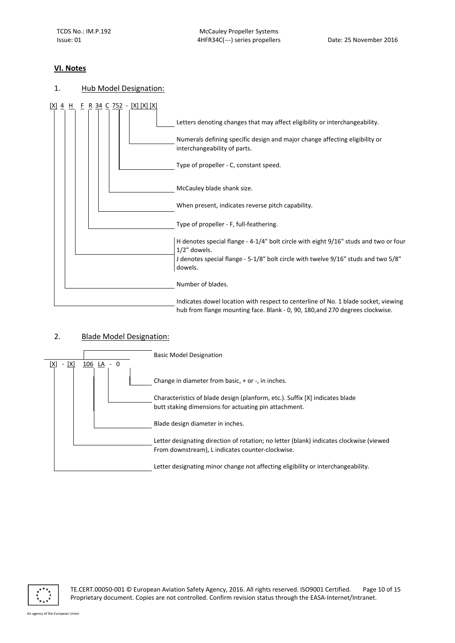#### **VI. Notes**

#### 1. Hub Model Designation:





#### 2. Blade Model Designation:



TE.CERT.00050‐001 © European Aviation Safety Agency, 2016. All rights reserved. ISO9001 Certified. Page 10 of 15 Proprietary document. Copies are not controlled. Confirm revision status through the EASA‐Internet/Intranet.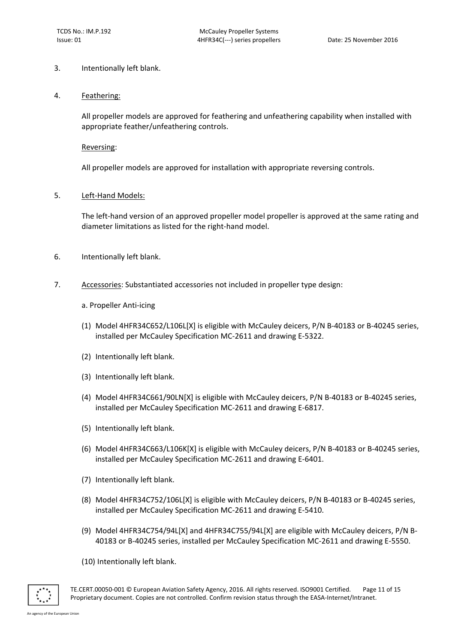#### 3. Intentionally left blank.

4. Feathering:

All propeller models are approved for feathering and unfeathering capability when installed with appropriate feather/unfeathering controls.

Reversing:

All propeller models are approved for installation with appropriate reversing controls.

5. Left-Hand Models:

The left-hand version of an approved propeller model propeller is approved at the same rating and diameter limitations as listed for the right‐hand model.

- 6. Intentionally left blank.
- 7. Accessories: Substantiated accessories not included in propeller type design:
	- a. Propeller Anti‐icing
	- (1) Model 4HFR34C652/L106L[X] is eligible with McCauley deicers, P/N B‐40183 or B‐40245 series, installed per McCauley Specification MC‐2611 and drawing E‐5322.
	- (2) Intentionally left blank.
	- (3) Intentionally left blank.
	- (4) Model 4HFR34C661/90LN[X] is eligible with McCauley deicers, P/N B-40183 or B-40245 series, installed per McCauley Specification MC‐2611 and drawing E‐6817.
	- (5) Intentionally left blank.
	- (6) Model 4HFR34C663/L106K[X] is eligible with McCauley deicers, P/N B‐40183 or B‐40245 series, installed per McCauley Specification MC‐2611 and drawing E‐6401.
	- (7) Intentionally left blank.
	- (8) Model 4HFR34C752/106L[X] is eligible with McCauley deicers, P/N B‐40183 or B‐40245 series, installed per McCauley Specification MC‐2611 and drawing E‐5410.
	- (9) Model 4HFR34C754/94L[X] and 4HFR34C755/94L[X] are eligible with McCauley deicers, P/N B‐ 40183 or B‐40245 series, installed per McCauley Specification MC‐2611 and drawing E‐5550.
	- (10) Intentionally left blank.



TE.CERT.00050‐001 © European Aviation Safety Agency, 2016. All rights reserved. ISO9001 Certified. Page 11 of 15 Proprietary document. Copies are not controlled. Confirm revision status through the EASA-Internet/Intranet.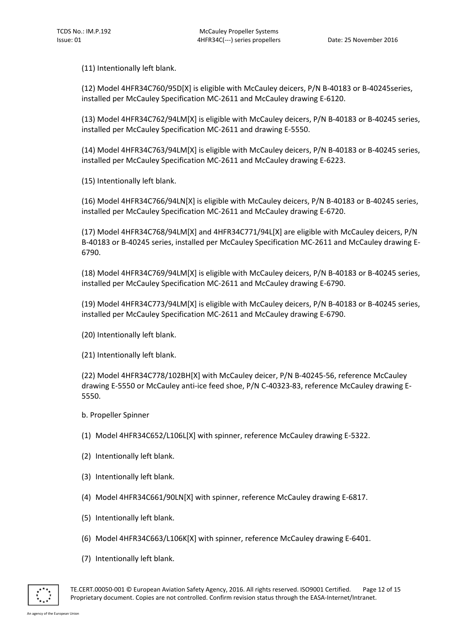(11) Intentionally left blank.

(12) Model 4HFR34C760/95D[X] is eligible with McCauley deicers, P/N B‐40183 or B‐40245series, installed per McCauley Specification MC‐2611 and McCauley drawing E‐6120.

(13) Model 4HFR34C762/94LM[X] is eligible with McCauley deicers, P/N B‐40183 or B‐40245 series, installed per McCauley Specification MC‐2611 and drawing E‐5550.

(14) Model 4HFR34C763/94LM[X] is eligible with McCauley deicers, P/N B‐40183 or B‐40245 series, installed per McCauley Specification MC‐2611 and McCauley drawing E‐6223.

(15) Intentionally left blank.

(16) Model 4HFR34C766/94LN[X] is eligible with McCauley deicers, P/N B‐40183 or B‐40245 series, installed per McCauley Specification MC‐2611 and McCauley drawing E‐6720.

(17) Model 4HFR34C768/94LM[X] and 4HFR34C771/94L[X] are eligible with McCauley deicers, P/N B-40183 or B-40245 series, installed per McCauley Specification MC-2611 and McCauley drawing E-6790.

(18) Model 4HFR34C769/94LM[X] is eligible with McCauley deicers, P/N B‐40183 or B‐40245 series, installed per McCauley Specification MC‐2611 and McCauley drawing E‐6790.

(19) Model 4HFR34C773/94LM[X] is eligible with McCauley deicers, P/N B‐40183 or B‐40245 series, installed per McCauley Specification MC‐2611 and McCauley drawing E‐6790.

(20) Intentionally left blank.

(21) Intentionally left blank.

(22) Model 4HFR34C778/102BH[X] with McCauley deicer, P/N B‐40245‐56, reference McCauley drawing E‐5550 or McCauley anti‐ice feed shoe, P/N C‐40323‐83, reference McCauley drawing E‐ 5550.

- b. Propeller Spinner
- (1) Model 4HFR34C652/L106L[X] with spinner, reference McCauley drawing E‐5322.
- (2) Intentionally left blank.
- (3) Intentionally left blank.
- (4) Model 4HFR34C661/90LN[X] with spinner, reference McCauley drawing E‐6817.
- (5) Intentionally left blank.
- (6) Model 4HFR34C663/L106K[X] with spinner, reference McCauley drawing E‐6401.
- (7) Intentionally left blank.



TE.CERT.00050‐001 © European Aviation Safety Agency, 2016. All rights reserved. ISO9001 Certified. Page 12 of 15 Proprietary document. Copies are not controlled. Confirm revision status through the EASA‐Internet/Intranet.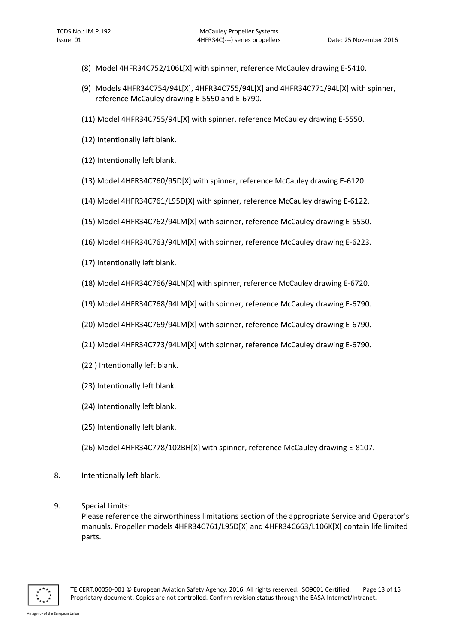- (8) Model 4HFR34C752/106L[X] with spinner, reference McCauley drawing E‐5410.
- (9) Models 4HFR34C754/94L[X], 4HFR34C755/94L[X] and 4HFR34C771/94L[X] with spinner, reference McCauley drawing E‐5550 and E‐6790.
- (11) Model 4HFR34C755/94L[X] with spinner, reference McCauley drawing E‐5550.
- (12) Intentionally left blank.
- (12) Intentionally left blank.
- (13) Model 4HFR34C760/95D[X] with spinner, reference McCauley drawing E‐6120.
- (14) Model 4HFR34C761/L95D[X] with spinner, reference McCauley drawing E‐6122.
- (15) Model 4HFR34C762/94LM[X] with spinner, reference McCauley drawing E‐5550.
- (16) Model 4HFR34C763/94LM[X] with spinner, reference McCauley drawing E‐6223.
- (17) Intentionally left blank.
- (18) Model 4HFR34C766/94LN[X] with spinner, reference McCauley drawing E‐6720.
- (19) Model 4HFR34C768/94LM[X] with spinner, reference McCauley drawing E‐6790.
- (20) Model 4HFR34C769/94LM[X] with spinner, reference McCauley drawing E‐6790.
- (21) Model 4HFR34C773/94LM[X] with spinner, reference McCauley drawing E‐6790.
- (22 ) Intentionally left blank.
- (23) Intentionally left blank.
- (24) Intentionally left blank.
- (25) Intentionally left blank.
- (26) Model 4HFR34C778/102BH[X] with spinner, reference McCauley drawing E‐8107.
- 8. Intentionally left blank.
- 9. Special Limits:

Please reference the airworthiness limitations section of the appropriate Service and Operator's manuals. Propeller models 4HFR34C761/L95D[X] and 4HFR34C663/L106K[X] contain life limited parts.

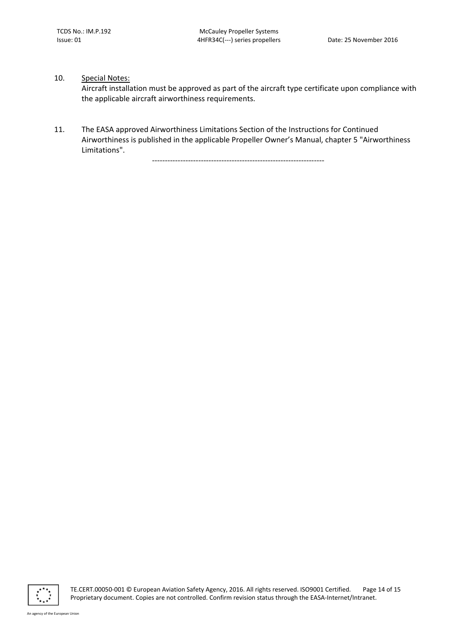# 10. Special Notes:

Aircraft installation must be approved as part of the aircraft type certificate upon compliance with the applicable aircraft airworthiness requirements.

11. The EASA approved Airworthiness Limitations Section of the Instructions for Continued Airworthiness is published in the applicable Propeller Owner's Manual, chapter 5 "Airworthiness Limitations".

‐‐‐‐‐‐‐‐‐‐‐‐‐‐‐‐‐‐‐‐‐‐‐‐‐‐‐‐‐‐‐‐‐‐‐‐‐‐‐‐‐‐‐‐‐‐‐‐‐‐‐‐‐‐‐‐‐‐‐‐‐‐‐‐‐‐‐



TE.CERT.00050‐001 © European Aviation Safety Agency, 2016. All rights reserved. ISO9001 Certified. Page 14 of 15 Proprietary document. Copies are not controlled. Confirm revision status through the EASA‐Internet/Intranet.